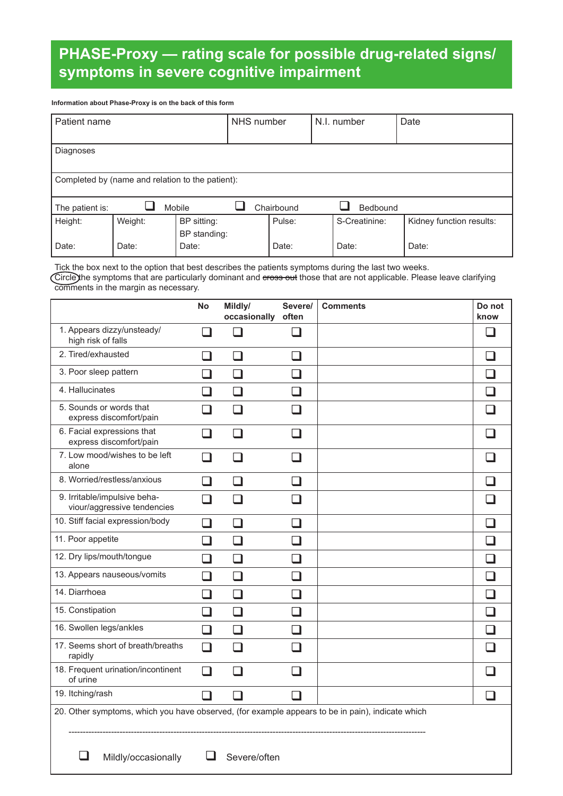# **PHASE-Proxy — rating scale for possible drug-related signs/ symptoms in severe cognitive impairment**

#### **Information about Phase-Proxy is on the back of this form**

| Patient name                                     |         |              | NHS number |            |  | N.I. number     | Date                     |  |
|--------------------------------------------------|---------|--------------|------------|------------|--|-----------------|--------------------------|--|
|                                                  |         |              |            |            |  |                 |                          |  |
| Diagnoses                                        |         |              |            |            |  |                 |                          |  |
|                                                  |         |              |            |            |  |                 |                          |  |
| Completed by (name and relation to the patient): |         |              |            |            |  |                 |                          |  |
|                                                  |         |              |            |            |  |                 |                          |  |
| The patient is:                                  |         | Mobile       |            | Chairbound |  | <b>Bedbound</b> |                          |  |
| Height:                                          | Weight: | BP sitting:  |            | Pulse:     |  | S-Creatinine:   | Kidney function results: |  |
|                                                  |         | BP standing: |            |            |  |                 |                          |  |
| Date:                                            | Date:   | Date:        |            | Date:      |  | Date:           | Date:                    |  |

Tick the box next to the option that best describes the patients symptoms during the last two weeks.

Circle the symptoms that are particularly dominant and eross out those that are not applicable. Please leave clarifying comments in the margin as necessary.

|                                                                                                  | <b>No</b>                | Mildly/<br>occasionally | Severe/<br>often         | <b>Comments</b> | Do not<br>know |
|--------------------------------------------------------------------------------------------------|--------------------------|-------------------------|--------------------------|-----------------|----------------|
| 1. Appears dizzy/unsteady/<br>high risk of falls                                                 | $\Box$                   | l 1                     | a di                     |                 | l 1            |
| 2. Tired/exhausted                                                                               | $\Box$                   | $\Box$                  | $\Box$                   |                 | $\Box$         |
| 3. Poor sleep pattern                                                                            | $\Box$                   | $\blacksquare$          | П                        |                 | П              |
| 4. Hallucinates                                                                                  | ப                        | H                       | H                        |                 | <b>I</b>       |
| 5. Sounds or words that<br>express discomfort/pain                                               | ר                        |                         | $\overline{\phantom{a}}$ |                 |                |
| 6. Facial expressions that<br>express discomfort/pain                                            | $\Box$                   | H                       | П                        |                 |                |
| 7. Low mood/wishes to be left<br>alone                                                           | H                        | . I                     | <b>I</b>                 |                 |                |
| 8. Worried/restless/anxious                                                                      | $\Box$                   | $\Box$                  | $\Box$                   |                 | $\Box$         |
| 9. Irritable/impulsive beha-<br>viour/aggressive tendencies                                      | - 1                      |                         |                          |                 |                |
| 10. Stiff facial expression/body                                                                 | ┚                        |                         |                          |                 |                |
| 11. Poor appetite                                                                                | $\Box$                   | П                       | $\Box$                   |                 | $\Box$         |
| 12. Dry lips/mouth/tongue                                                                        | $\Box$                   | H                       | $\Box$                   |                 | П              |
| 13. Appears nauseous/vomits                                                                      | ⊐                        | ப                       | $\Box$                   |                 | $\Box$         |
| 14. Diarrhoea                                                                                    | $\overline{\phantom{0}}$ |                         | . I                      |                 | - 1            |
| 15. Constipation                                                                                 | $\Box$                   | H                       | - 1                      |                 |                |
| 16. Swollen legs/ankles                                                                          | $\Box$                   | H                       | П                        |                 | n              |
| 17. Seems short of breath/breaths<br>rapidly                                                     | $\Box$                   | H                       | ┓                        |                 |                |
| 18. Frequent urination/incontinent<br>of urine                                                   | $\Box$                   |                         | . I                      |                 |                |
| 19. Itching/rash                                                                                 | $\mathsf{L}$             |                         | $\Box$                   |                 | H              |
| 20. Other symptoms, which you have observed, (for example appears to be in pain), indicate which |                          |                         |                          |                 |                |
| Mildly/occasionally                                                                              |                          | Severe/often            |                          |                 |                |